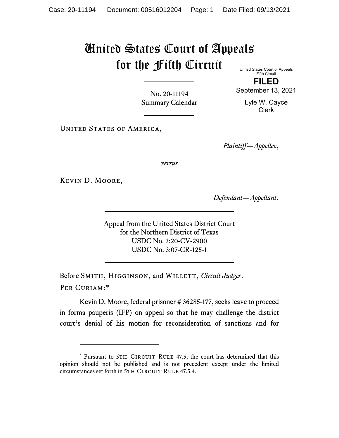## United States Court of Appeals for the Fifth Circuit

United States Court of Appeals Fifth Circuit

**FILED**

No. 20-11194 Summary Calendar September 13, 2021 Lyle W. Cayce

Clerk

UNITED STATES OF AMERICA,

*Plaintiff—Appellee*,

*versus*

Kevin D. Moore,

*Defendant—Appellant*.

Appeal from the United States District Court for the Northern District of Texas USDC No. 3:20-CV-2900 USDC No. 3:07-CR-125-1

Before SMITH, HIGGINSON, and WILLETT, *Circuit Judges*. Per Curiam:[\\*](#page-0-0)

Kevin D. Moore, federal prisoner # 36285-177, seeks leave to proceed in forma pauperis (IFP) on appeal so that he may challenge the district court's denial of his motion for reconsideration of sanctions and for

<span id="page-0-0"></span><sup>\*</sup> Pursuant to 5TH CIRCUIT RULE 47.5, the court has determined that this opinion should not be published and is not precedent except under the limited circumstances set forth in 5TH CIRCUIT RULE 47.5.4.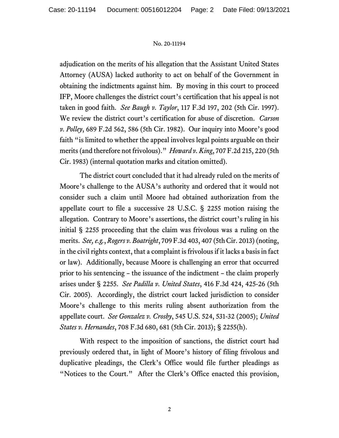## No. 20-11194

adjudication on the merits of his allegation that the Assistant United States Attorney (AUSA) lacked authority to act on behalf of the Government in obtaining the indictments against him. By moving in this court to proceed IFP, Moore challenges the district court's certification that his appeal is not taken in good faith. *See Baugh v. Taylor*, 117 F.3d 197, 202 (5th Cir. 1997). We review the district court's certification for abuse of discretion. *Carson v. Polley*, 689 F.2d 562, 586 (5th Cir. 1982). Our inquiry into Moore's good faith "is limited to whether the appeal involves legal points arguable on their merits (and therefore not frivolous)." *Howard v. King*, 707 F.2d 215, 220 (5th Cir. 1983) (internal quotation marks and citation omitted).

The district court concluded that it had already ruled on the merits of Moore's challenge to the AUSA's authority and ordered that it would not consider such a claim until Moore had obtained authorization from the appellate court to file a successive 28 U.S.C. § 2255 motion raising the allegation. Contrary to Moore's assertions, the district court's ruling in his initial § 2255 proceeding that the claim was frivolous was a ruling on the merits. *See, e.g.*, *Rogers v. Boatright*, 709 F.3d 403, 407 (5th Cir. 2013) (noting, in the civil rights context, that a complaint is frivolous if it lacks a basis in fact or law). Additionally, because Moore is challenging an error that occurred prior to his sentencing – the issuance of the indictment – the claim properly arises under § 2255. *See Padilla v. United States*, 416 F.3d 424, 425-26 (5th Cir. 2005). Accordingly, the district court lacked jurisdiction to consider Moore's challenge to this merits ruling absent authorization from the appellate court. *See Gonzalez v. Crosby*, 545 U.S. 524, 531-32 (2005); *United States v. Hernandes*, 708 F.3d 680, 681 (5th Cir. 2013); § 2255(h).

With respect to the imposition of sanctions, the district court had previously ordered that, in light of Moore's history of filing frivolous and duplicative pleadings, the Clerk's Office would file further pleadings as "Notices to the Court." After the Clerk's Office enacted this provision,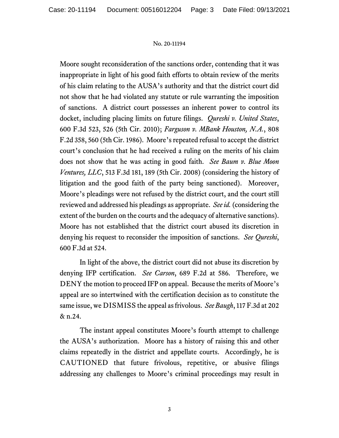## No. 20-11194

Moore sought reconsideration of the sanctions order, contending that it was inappropriate in light of his good faith efforts to obtain review of the merits of his claim relating to the AUSA's authority and that the district court did not show that he had violated any statute or rule warranting the imposition of sanctions. A district court possesses an inherent power to control its docket, including placing limits on future filings. *Qureshi v. United States*, 600 F.3d 523, 526 (5th Cir. 2010); *Farguson v. MBank Houston, N.A.*, 808 F.2d 358, 560 (5th Cir. 1986). Moore's repeated refusal to accept the district court's conclusion that he had received a ruling on the merits of his claim does not show that he was acting in good faith. *See Baum v. Blue Moon Ventures, LLC*, 513 F.3d 181, 189 (5th Cir. 2008) (considering the history of litigation and the good faith of the party being sanctioned). Moreover, Moore's pleadings were not refused by the district court, and the court still reviewed and addressed his pleadings as appropriate. *See id.* (considering the extent of the burden on the courts and the adequacy of alternative sanctions). Moore has not established that the district court abused its discretion in denying his request to reconsider the imposition of sanctions. *See Qureshi*, 600 F.3d at 524.

In light of the above, the district court did not abuse its discretion by denying IFP certification. *See Carson*, 689 F.2d at 586. Therefore, we DENY the motion to proceed IFP on appeal. Because the merits of Moore's appeal are so intertwined with the certification decision as to constitute the same issue, we DISMISS the appeal as frivolous. *See Baugh*, 117 F.3d at 202 & n.24.

The instant appeal constitutes Moore's fourth attempt to challenge the AUSA's authorization. Moore has a history of raising this and other claims repeatedly in the district and appellate courts. Accordingly, he is CAUTIONED that future frivolous, repetitive, or abusive filings addressing any challenges to Moore's criminal proceedings may result in